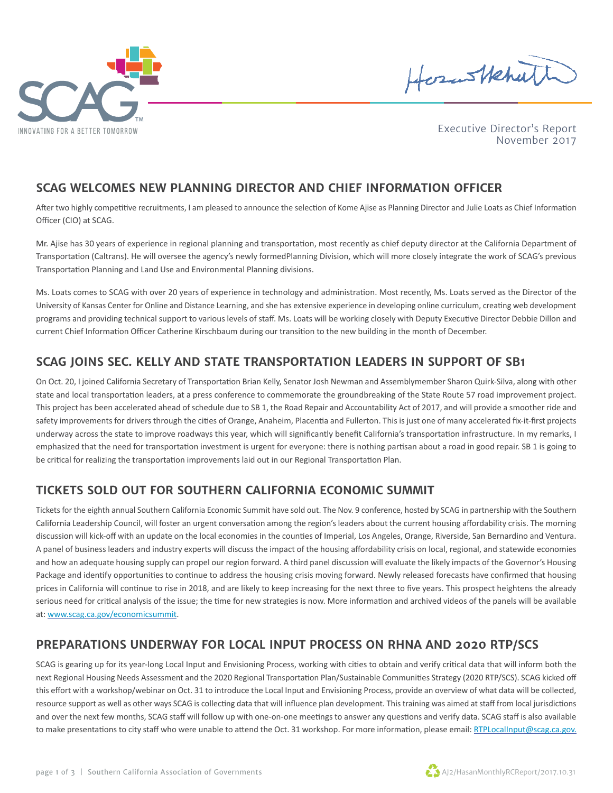

HosasHehuth

Executive Director's Report November 2017

### **SCAG WELCOMES NEW PLANNING DIRECTOR AND CHIEF INFORMATION OFFICER**

After two highly competitive recruitments, I am pleased to announce the selection of Kome Ajise as Planning Director and Julie Loats as Chief Information Officer (CIO) at SCAG.

Mr. Ajise has 30 years of experience in regional planning and transportation, most recently as chief deputy director at the California Department of Transportation (Caltrans). He will oversee the agency's newly formedPlanning Division, which will more closely integrate the work of SCAG's previous Transportation Planning and Land Use and Environmental Planning divisions.

Ms. Loats comes to SCAG with over 20 years of experience in technology and administration. Most recently, Ms. Loats served as the Director of the University of Kansas Center for Online and Distance Learning, and she has extensive experience in developing online curriculum, creating web development programs and providing technical support to various levels of staff. Ms. Loats will be working closely with Deputy Executive Director Debbie Dillon and current Chief Information Officer Catherine Kirschbaum during our transition to the new building in the month of December.

#### **SCAG JOINS SEC. KELLY AND STATE TRANSPORTATION LEADERS IN SUPPORT OF SB1**

On Oct. 20, I joined California Secretary of Transportation Brian Kelly, Senator Josh Newman and Assemblymember Sharon Quirk-Silva, along with other state and local transportation leaders, at a press conference to commemorate the groundbreaking of the State Route 57 road improvement project. This project has been accelerated ahead of schedule due to SB 1, the Road Repair and Accountability Act of 2017, and will provide a smoother ride and safety improvements for drivers through the cities of Orange, Anaheim, Placentia and Fullerton. This is just one of many accelerated fix-it-first projects underway across the state to improve roadways this year, which will significantly benefit California's transportation infrastructure. In my remarks, I emphasized that the need for transportation investment is urgent for everyone: there is nothing partisan about a road in good repair. SB 1 is going to be critical for realizing the transportation improvements laid out in our Regional Transportation Plan.

# **TICKETS SOLD OUT FOR SOUTHERN CALIFORNIA ECONOMIC SUMMIT**

Tickets for the eighth annual Southern California Economic Summit have sold out. The Nov. 9 conference, hosted by SCAG in partnership with the Southern California Leadership Council, will foster an urgent conversation among the region's leaders about the current housing affordability crisis. The morning discussion will kick-off with an update on the local economies in the counties of Imperial, Los Angeles, Orange, Riverside, San Bernardino and Ventura. A panel of business leaders and industry experts will discuss the impact of the housing affordability crisis on local, regional, and statewide economies and how an adequate housing supply can propel our region forward. A third panel discussion will evaluate the likely impacts of the Governor's Housing Package and identify opportunities to continue to address the housing crisis moving forward. Newly released forecasts have confirmed that housing prices in California will continue to rise in 2018, and are likely to keep increasing for the next three to five years. This prospect heightens the already serious need for critical analysis of the issue; the time for new strategies is now. More information and archived videos of the panels will be available at: [www.scag.ca.gov/economicsummit.](http://www.scag.ca.gov/economicsummit)

#### **PREPARATIONS UNDERWAY FOR LOCAL INPUT PROCESS ON RHNA AND 2020 RTP/SCS**

SCAG is gearing up for its year-long Local Input and Envisioning Process, working with cities to obtain and verify critical data that will inform both the next Regional Housing Needs Assessment and the 2020 Regional Transportation Plan/Sustainable Communities Strategy (2020 RTP/SCS). SCAG kicked off this effort with a workshop/webinar on Oct. 31 to introduce the Local Input and Envisioning Process, provide an overview of what data will be collected, resource support as well as other ways SCAG is collecting data that will influence plan development. This training was aimed at staff from local jurisdictions and over the next few months, SCAG staff will follow up with one-on-one meetings to answer any questions and verify data. SCAG staff is also available to make presentations to city staff who were unable to attend the Oct. 31 workshop. For more information, please email: [RTPLocalInput@scag.ca.gov.](mailto:RTPLocalInput@scag.ca.gov.)

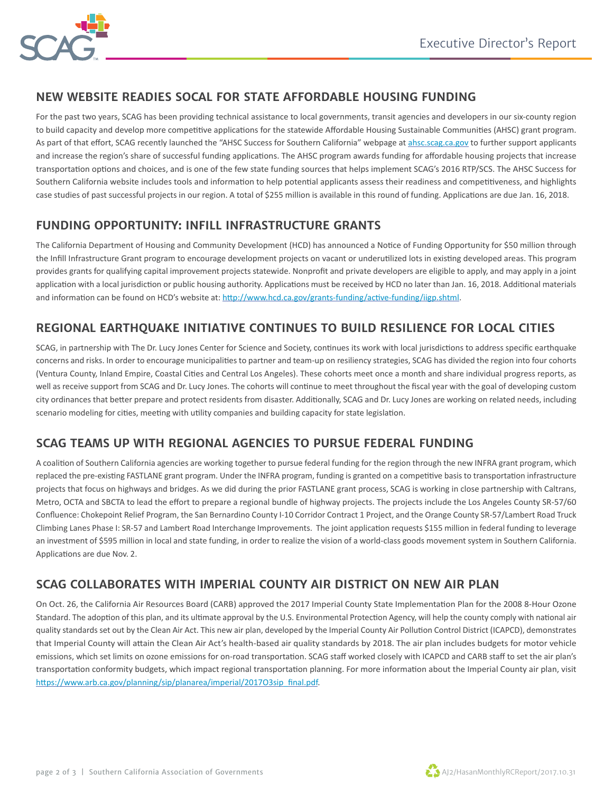

### **NEW WEBSITE READIES SOCAL FOR STATE AFFORDABLE HOUSING FUNDING**

For the past two years, SCAG has been providing technical assistance to local governments, transit agencies and developers in our six-county region to build capacity and develop more competitive applications for the statewide Affordable Housing Sustainable Communities (AHSC) grant program. As part of that effort, SCAG recently launched the "AHSC Success for Southern California" webpage at [ahsc.scag.ca.gov](https://www.arb.ca.gov/planning/sip/planarea/imperial/2017O3sip_final.pdf) to further support applicants and increase the region's share of successful funding applications. The AHSC program awards funding for affordable housing projects that increase transportation options and choices, and is one of the few state funding sources that helps implement SCAG's 2016 RTP/SCS. The AHSC Success for Southern California website includes tools and information to help potential applicants assess their readiness and competitiveness, and highlights case studies of past successful projects in our region. A total of \$255 million is available in this round of funding. Applications are due Jan. 16, 2018.

### **FUNDING OPPORTUNITY: INFILL INFRASTRUCTURE GRANTS**

The California Department of Housing and Community Development (HCD) has announced a Notice of Funding Opportunity for \$50 million through the Infill Infrastructure Grant program to encourage development projects on vacant or underutilized lots in existing developed areas. This program provides grants for qualifying capital improvement projects statewide. Nonprofit and private developers are eligible to apply, and may apply in a joint application with a local jurisdiction or public housing authority. Applications must be received by HCD no later than Jan. 16, 2018. Additional materials and information can be found on HCD's website at: [http://www.hcd.ca.gov/grants-funding/active-funding/iigp.shtml.](http://www.hcd.ca.gov/grants-funding/active-funding/iigp.shtml)

# **REGIONAL EARTHQUAKE INITIATIVE CONTINUES TO BUILD RESILIENCE FOR LOCAL CITIES**

SCAG, in partnership with The Dr. Lucy Jones Center for Science and Society, continues its work with local jurisdictions to address specific earthquake concerns and risks. In order to encourage municipalities to partner and team-up on resiliency strategies, SCAG has divided the region into four cohorts (Ventura County, Inland Empire, Coastal Cities and Central Los Angeles). These cohorts meet once a month and share individual progress reports, as well as receive support from SCAG and Dr. Lucy Jones. The cohorts will continue to meet throughout the fiscal year with the goal of developing custom city ordinances that better prepare and protect residents from disaster. Additionally, SCAG and Dr. Lucy Jones are working on related needs, including scenario modeling for cities, meeting with utility companies and building capacity for state legislation.

# **SCAG TEAMS UP WITH REGIONAL AGENCIES TO PURSUE FEDERAL FUNDING**

A coalition of Southern California agencies are working together to pursue federal funding for the region through the new INFRA grant program, which replaced the pre-existing FASTLANE grant program. Under the INFRA program, funding is granted on a competitive basis to transportation infrastructure projects that focus on highways and bridges. As we did during the prior FASTLANE grant process, SCAG is working in close partnership with Caltrans, Metro, OCTA and SBCTA to lead the effort to prepare a regional bundle of highway projects. The projects include the Los Angeles County SR-57/60 Confluence: Chokepoint Relief Program, the San Bernardino County I-10 Corridor Contract 1 Project, and the Orange County SR-57/Lambert Road Truck Climbing Lanes Phase I: SR-57 and Lambert Road Interchange Improvements. The joint application requests \$155 million in federal funding to leverage an investment of \$595 million in local and state funding, in order to realize the vision of a world-class goods movement system in Southern California. Applications are due Nov. 2.

# **SCAG COLLABORATES WITH IMPERIAL COUNTY AIR DISTRICT ON NEW AIR PLAN**

On Oct. 26, the California Air Resources Board (CARB) approved the 2017 Imperial County State Implementation Plan for the 2008 8-Hour Ozone Standard. The adoption of this plan, and its ultimate approval by the U.S. Environmental Protection Agency, will help the county comply with national air quality standards set out by the Clean Air Act. This new air plan, developed by the Imperial County Air Pollution Control District (ICAPCD), demonstrates that Imperial County will attain the Clean Air Act's health-based air quality standards by 2018. The air plan includes budgets for motor vehicle emissions, which set limits on ozone emissions for on-road transportation. SCAG staff worked closely with ICAPCD and CARB staff to set the air plan's transportation conformity budgets, which impact regional transportation planning. For more information about the Imperial County air plan, visit [https://www.arb.ca.gov/planning/sip/planarea/imperial/2017O3sip\\_final.pdf.](https://www.arb.ca.gov/planning/sip/planarea/imperial/2017O3sip_final.pdf)